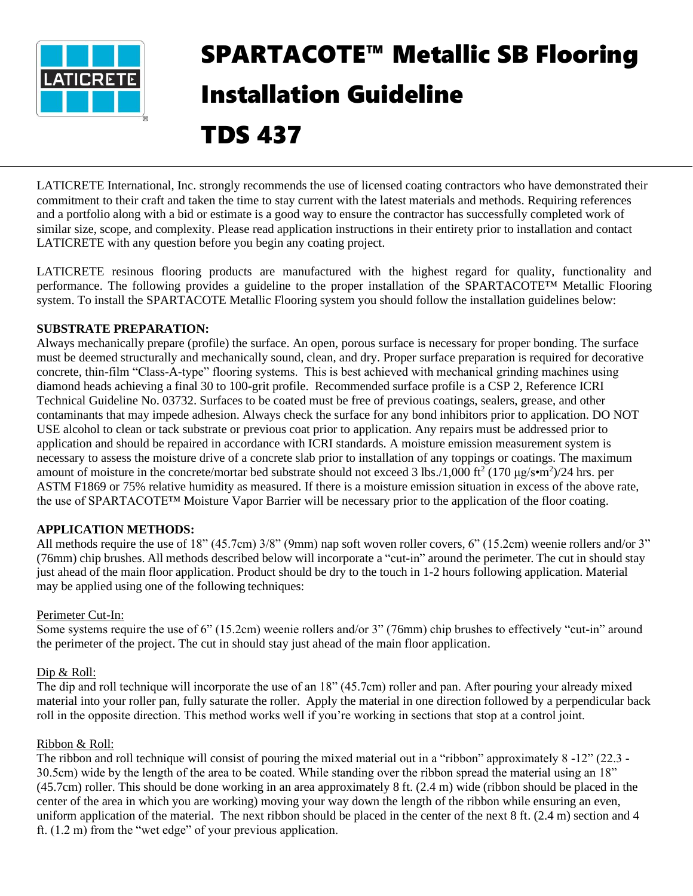

# SPARTACOTE™ Metallic SB Flooring Installation Guideline TDS 437

LATICRETE International, Inc. strongly recommends the use of licensed coating contractors who have demonstrated their commitment to their craft and taken the time to stay current with the latest materials and methods. Requiring references and a portfolio along with a bid or estimate is a good way to ensure the contractor has successfully completed work of similar size, scope, and complexity. Please read application instructions in their entirety prior to installation and contact LATICRETE with any question before you begin any coating project.

LATICRETE resinous flooring products are manufactured with the highest regard for quality, functionality and performance. The following provides a guideline to the proper installation of the SPARTACOTE™ Metallic Flooring system. To install the SPARTACOTE Metallic Flooring system you should follow the installation guidelines below:

#### **SUBSTRATE PREPARATION:**

Always mechanically prepare (profile) the surface. An open, porous surface is necessary for proper bonding. The surface must be deemed structurally and mechanically sound, clean, and dry. Proper surface preparation is required for decorative concrete, thin-film "Class-A-type" flooring systems. This is best achieved with mechanical grinding machines using diamond heads achieving a final 30 to 100-grit profile. Recommended surface profile is a CSP 2, Reference ICRI Technical Guideline No. 03732. Surfaces to be coated must be free of previous coatings, sealers, grease, and other contaminants that may impede adhesion. Always check the surface for any bond inhibitors prior to application. DO NOT USE alcohol to clean or tack substrate or previous coat prior to application. Any repairs must be addressed prior to application and should be repaired in accordance with ICRI standards. A moisture emission measurement system is necessary to assess the moisture drive of a concrete slab prior to installation of any toppings or coatings. The maximum amount of moisture in the concrete/mortar bed substrate should not exceed 3 lbs./1,000 ft<sup>2</sup> (170  $\mu$ g/s•m<sup>2</sup>)/24 hrs. per ASTM F1869 or 75% relative humidity as measured. If there is a moisture emission situation in excess of the above rate, the use of SPARTACOTE™ Moisture Vapor Barrier will be necessary prior to the application of the floor coating.

## **APPLICATION METHODS:**

All methods require the use of 18" (45.7cm) 3/8" (9mm) nap soft woven roller covers, 6" (15.2cm) weenie rollers and/or 3" (76mm) chip brushes. All methods described below will incorporate a "cut-in" around the perimeter. The cut in should stay just ahead of the main floor application. Product should be dry to the touch in 1-2 hours following application. Material may be applied using one of the following techniques:

#### Perimeter Cut-In:

Some systems require the use of 6" (15.2cm) weenie rollers and/or 3" (76mm) chip brushes to effectively "cut-in" around the perimeter of the project. The cut in should stay just ahead of the main floor application.

#### Dip & Roll:

The dip and roll technique will incorporate the use of an 18" (45.7cm) roller and pan. After pouring your already mixed material into your roller pan, fully saturate the roller. Apply the material in one direction followed by a perpendicular back roll in the opposite direction. This method works well if you're working in sections that stop at a control joint.

#### Ribbon & Roll:

The ribbon and roll technique will consist of pouring the mixed material out in a "ribbon" approximately 8 -12" (22.3 - 30.5cm) wide by the length of the area to be coated. While standing over the ribbon spread the material using an 18" (45.7cm) roller. This should be done working in an area approximately 8 ft. (2.4 m) wide (ribbon should be placed in the center of the area in which you are working) moving your way down the length of the ribbon while ensuring an even, uniform application of the material. The next ribbon should be placed in the center of the next 8 ft. (2.4 m) section and 4 ft. (1.2 m) from the "wet edge" of your previous application.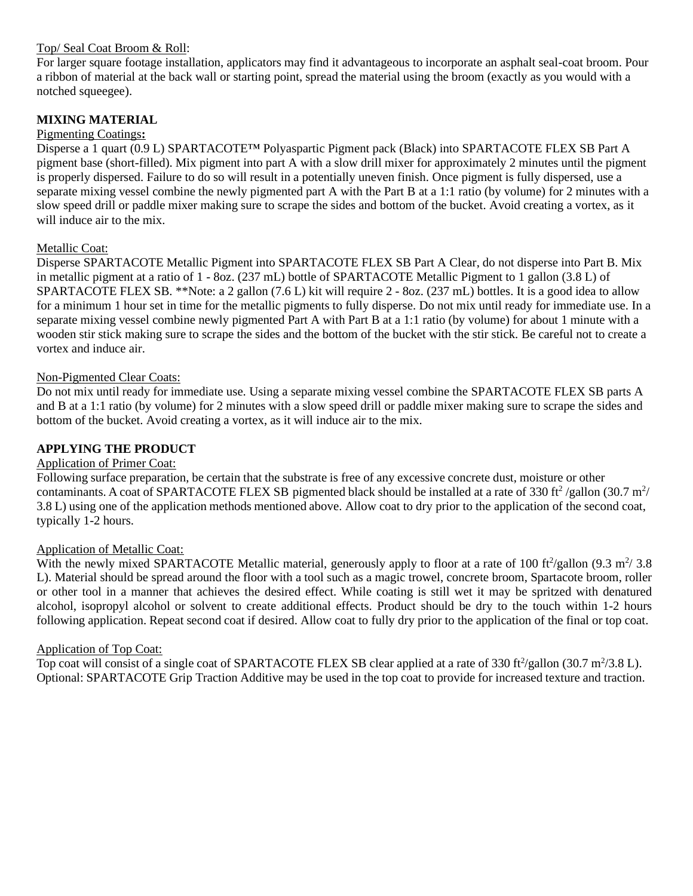#### Top/ Seal Coat Broom & Roll:

For larger square footage installation, applicators may find it advantageous to incorporate an asphalt seal-coat broom. Pour a ribbon of material at the back wall or starting point, spread the material using the broom (exactly as you would with a notched squeegee).

## **MIXING MATERIAL**

#### Pigmenting Coatings**:**

Disperse a 1 quart (0.9 L) SPARTACOTE™ Polyaspartic Pigment pack (Black) into SPARTACOTE FLEX SB Part A pigment base (short-filled). Mix pigment into part A with a slow drill mixer for approximately 2 minutes until the pigment is properly dispersed. Failure to do so will result in a potentially uneven finish. Once pigment is fully dispersed, use a separate mixing vessel combine the newly pigmented part A with the Part B at a 1:1 ratio (by volume) for 2 minutes with a slow speed drill or paddle mixer making sure to scrape the sides and bottom of the bucket. Avoid creating a vortex, as it will induce air to the mix.

#### Metallic Coat:

Disperse SPARTACOTE Metallic Pigment into SPARTACOTE FLEX SB Part A Clear, do not disperse into Part B. Mix in metallic pigment at a ratio of 1 - 8oz. (237 mL) bottle of SPARTACOTE Metallic Pigment to 1 gallon (3.8 L) of SPARTACOTE FLEX SB. \*\*Note: a 2 gallon (7.6 L) kit will require 2 - 8oz. (237 mL) bottles. It is a good idea to allow for a minimum 1 hour set in time for the metallic pigments to fully disperse. Do not mix until ready for immediate use. In a separate mixing vessel combine newly pigmented Part A with Part B at a 1:1 ratio (by volume) for about 1 minute with a wooden stir stick making sure to scrape the sides and the bottom of the bucket with the stir stick. Be careful not to create a vortex and induce air.

#### Non-Pigmented Clear Coats:

Do not mix until ready for immediate use. Using a separate mixing vessel combine the SPARTACOTE FLEX SB parts A and B at a 1:1 ratio (by volume) for 2 minutes with a slow speed drill or paddle mixer making sure to scrape the sides and bottom of the bucket. Avoid creating a vortex, as it will induce air to the mix.

## **APPLYING THE PRODUCT**

#### Application of Primer Coat:

Following surface preparation, be certain that the substrate is free of any excessive concrete dust, moisture or other contaminants. A coat of SPARTACOTE FLEX SB pigmented black should be installed at a rate of 330 ft<sup>2</sup>/gallon (30.7 m<sup>2</sup>/ 3.8 L) using one of the application methods mentioned above. Allow coat to dry prior to the application of the second coat, typically 1-2 hours.

#### Application of Metallic Coat:

With the newly mixed SPARTACOTE Metallic material, generously apply to floor at a rate of 100 ft $\frac{2}{\text{gallon}}$  (9.3 m<sup>2</sup>/3.8) L). Material should be spread around the floor with a tool such as a magic trowel, concrete broom, Spartacote broom, roller or other tool in a manner that achieves the desired effect. While coating is still wet it may be spritzed with denatured alcohol, isopropyl alcohol or solvent to create additional effects. Product should be dry to the touch within 1-2 hours following application. Repeat second coat if desired. Allow coat to fully dry prior to the application of the final or top coat.

#### Application of Top Coat:

Top coat will consist of a single coat of SPARTACOTE FLEX SB clear applied at a rate of 330 ft $\frac{2}{\text{gallon}}$  (30.7 m $\frac{2}{3.8}$  L). Optional: SPARTACOTE Grip Traction Additive may be used in the top coat to provide for increased texture and traction.